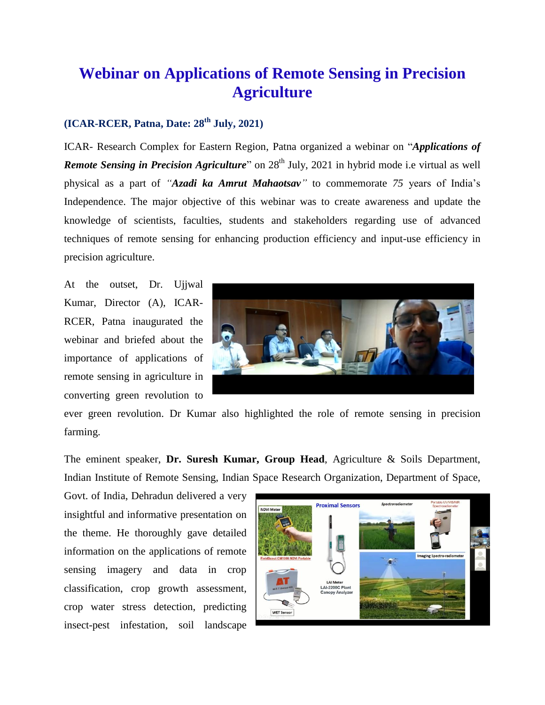## **Webinar on Applications of Remote Sensing in Precision Agriculture**

## **(ICAR-RCER, Patna, Date: 28 th July, 2021)**

ICAR- Research Complex for Eastern Region, Patna organized a webinar on "*Applications of*  **Remote Sensing in Precision Agriculture**" on 28<sup>th</sup> July, 2021 in hybrid mode i.e virtual as well physical as a part of *"Azadi ka Amrut Mahaotsav"* to commemorate *75* years of India's Independence. The major objective of this webinar was to create awareness and update the knowledge of scientists, faculties, students and stakeholders regarding use of advanced techniques of remote sensing for enhancing production efficiency and input-use efficiency in precision agriculture.

At the outset, Dr. Ujjwal Kumar, Director (A), ICAR-RCER, Patna inaugurated the webinar and briefed about the importance of applications of remote sensing in agriculture in converting green revolution to



ever green revolution. Dr Kumar also highlighted the role of remote sensing in precision farming.

The eminent speaker, **Dr. Suresh Kumar, Group Head**, Agriculture & Soils Department, Indian Institute of Remote Sensing, Indian Space Research Organization, Department of Space,

Govt. of India, Dehradun delivered a very insightful and informative presentation on the theme. He thoroughly gave detailed information on the applications of remote sensing imagery and data in crop classification, crop growth assessment, crop water stress detection, predicting insect-pest infestation, soil landscape